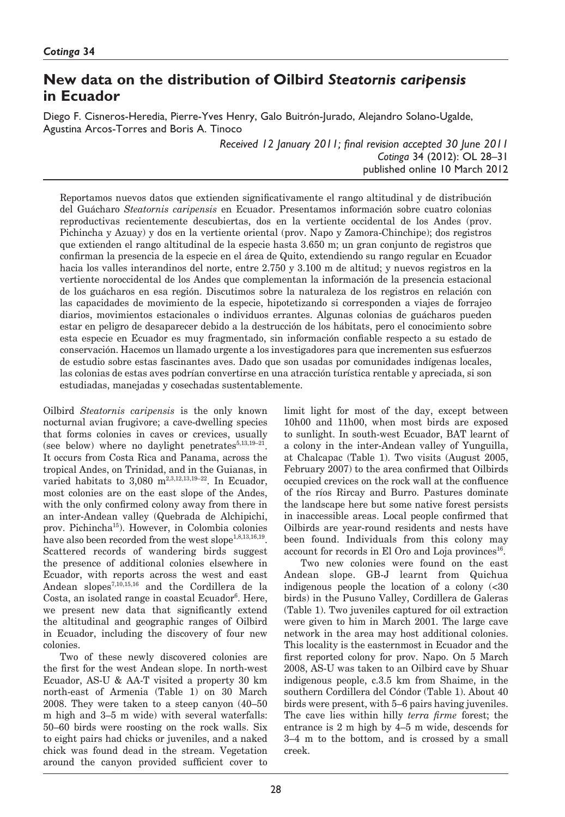# **New data on the distribution of Oilbird** *Steatornis caripensis* **in Ecuador**

Diego F. Cisneros-Heredia, Pierre-Yves Henry, Galo Buitrón-Jurado, Alejandro Solano-Ugalde, Agustina Arcos-Torres and Boris A. Tinoco

> *Received 12 January 2011; final revision accepted 30 June 2011 Cotinga* 34 (2012): OL 28–31 published online 10 March 2012

Reportamos nuevos datos que extienden significativamente el rango altitudinal y de distribución del Guácharo *Steatornis caripensis* en Ecuador. Presentamos información sobre cuatro colonias reproductivas recientemente descubiertas, dos en la vertiente occidental de los Andes (prov. Pichincha y Azuay) y dos en la vertiente oriental (prov. Napo y Zamora-Chinchipe); dos registros que extienden el rango altitudinal de la especie hasta 3.650 m; un gran conjunto de registros que confirman la presencia de la especie en el área de Quito, extendiendo su rango regular en Ecuador hacia los valles interandinos del norte, entre 2.750 y 3.100 m de altitud; y nuevos registros en la vertiente noroccidental de los Andes que complementan la información de la presencia estacional de los guácharos en esa región. Discutimos sobre la naturaleza de los registros en relación con las capacidades de movimiento de la especie, hipotetizando si corresponden a viajes de forrajeo diarios, movimientos estacionales o individuos errantes. Algunas colonias de guácharos pueden estar en peligro de desaparecer debido a la destrucción de los hábitats, pero el conocimiento sobre esta especie en Ecuador es muy fragmentado, sin información confiable respecto a su estado de conservación. Hacemos un llamado urgente a los investigadores para que incrementen sus esfuerzos de estudio sobre estas fascinantes aves. Dado que son usadas por comunidades indígenas locales, las colonias de estas aves podrían convertirse en una atracción turística rentable y apreciada, si son estudiadas, manejadas y cosechadas sustentablemente.

Oilbird *Steatornis caripensis* is the only known nocturnal avian frugivore; a cave-dwelling species that forms colonies in caves or crevices, usually (see below) where no daylight penetrates $5,13,19-21$ . It occurs from Costa Rica and Panama, across the tropical Andes, on Trinidad, and in the Guianas, in varied habitats to 3,080 m<sup>2,3,12,13,19-22</sup>. In Ecuador, most colonies are on the east slope of the Andes, with the only confirmed colony away from there in an inter-Andean valley (Quebrada de Alchipichi, prov. Pichincha15). However, in Colombia colonies have also been recorded from the west slope<sup>1,8,13,16,19</sup>. Scattered records of wandering birds suggest the presence of additional colonies elsewhere in Ecuador, with reports across the west and east Andean slopes7,10,15,16 and the Cordillera de la Costa, an isolated range in coastal Ecuador<sup>6</sup>. Here, we present new data that significantly extend the altitudinal and geographic ranges of Oilbird in Ecuador, including the discovery of four new colonies.

Two of these newly discovered colonies are the first for the west Andean slope. In north-west Ecuador, AS-U & AA-T visited a property 30 km north-east of Armenia (Table 1) on 30 March 2008. They were taken to a steep canyon (40–50 m high and 3–5 m wide) with several waterfalls: 50–60 birds were roosting on the rock walls. Six to eight pairs had chicks or juveniles, and a naked chick was found dead in the stream. Vegetation around the canyon provided sufficient cover to limit light for most of the day, except between 10h00 and 11h00, when most birds are exposed to sunlight. In south-west Ecuador, BAT learnt of a colony in the inter-Andean valley of Yunguilla, at Chalcapac (Table 1). Two visits (August 2005, February 2007) to the area confirmed that Oilbirds occupied crevices on the rock wall at the confluence of the ríos Rircay and Burro. Pastures dominate the landscape here but some native forest persists in inaccessible areas. Local people confirmed that Oilbirds are year-round residents and nests have been found. Individuals from this colony may account for records in El Oro and Loja provinces<sup>16</sup>.

Two new colonies were found on the east Andean slope. GB-J learnt from Quichua indigenous people the location of a colony (<30 birds) in the Pusuno Valley, Cordillera de Galeras (Table 1). Two juveniles captured for oil extraction were given to him in March 2001. The large cave network in the area may host additional colonies. This locality is the easternmost in Ecuador and the first reported colony for prov. Napo. On 5 March 2008, AS-U was taken to an Oilbird cave by Shuar indigenous people, c.3.5 km from Shaime, in the southern Cordillera del Cóndor (Table 1). About 40 birds were present, with 5–6 pairs having juveniles. The cave lies within hilly *terra firme* forest; the entrance is 2 m high by 4–5 m wide, descends for 3–4 m to the bottom, and is crossed by a small creek.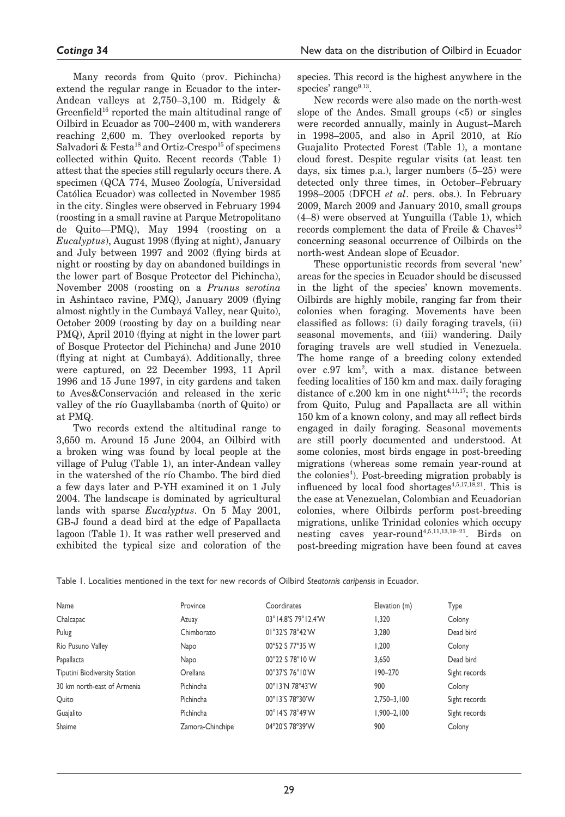Many records from Quito (prov. Pichincha) extend the regular range in Ecuador to the inter-Andean valleys at 2,750–3,100 m. Ridgely & Greenfield<sup>16</sup> reported the main altitudinal range of Oilbird in Ecuador as 700–2400 m, with wanderers reaching 2,600 m. They overlooked reports by Salvadori & Festa<sup>18</sup> and Ortiz-Crespo<sup>15</sup> of specimens collected within Quito. Recent records (Table 1) attest that the species still regularly occurs there. A specimen (QCA 774, Museo Zoología, Universidad Católica Ecuador) was collected in November 1985 in the city. Singles were observed in February 1994 (roosting in a small ravine at Parque Metropolitano de Quito—PMQ), May 1994 (roosting on a *Eucalyptus*), August 1998 (flying at night), January and July between 1997 and 2002 (flying birds at night or roosting by day on abandoned buildings in the lower part of Bosque Protector del Pichincha), November 2008 (roosting on a *Prunus serotina* in Ashintaco ravine, PMQ), January 2009 (flying almost nightly in the Cumbayá Valley, near Quito), October 2009 (roosting by day on a building near PMQ), April 2010 (flying at night in the lower part of Bosque Protector del Pichincha) and June 2010 (flying at night at Cumbayá). Additionally, three were captured, on 22 December 1993, 11 April 1996 and 15 June 1997, in city gardens and taken to Aves&Conservación and released in the xeric valley of the río Guayllabamba (north of Quito) or at PMQ.

Two records extend the altitudinal range to 3,650 m. Around 15 June 2004, an Oilbird with a broken wing was found by local people at the village of Pulug (Table 1), an inter-Andean valley in the watershed of the río Chambo. The bird died a few days later and P-YH examined it on 1 July 2004. The landscape is dominated by agricultural lands with sparse *Eucalyptus*. On 5 May 2001, GB-J found a dead bird at the edge of Papallacta lagoon (Table 1). It was rather well preserved and exhibited the typical size and coloration of the species. This record is the highest anywhere in the species' range $9,13$ .

New records were also made on the north-west slope of the Andes. Small groups  $\left( < 5 \right)$  or singles were recorded annually, mainly in August–March in 1998–2005, and also in April 2010, at Río Guajalito Protected Forest (Table 1), a montane cloud forest. Despite regular visits (at least ten days, six times p.a.), larger numbers (5–25) were detected only three times, in October–February 1998–2005 (DFCH *et al*. pers. obs.). In February 2009, March 2009 and January 2010, small groups (4–8) were observed at Yunguilla (Table 1), which records complement the data of Freile & Chaves<sup>10</sup> concerning seasonal occurrence of Oilbirds on the north-west Andean slope of Ecuador.

These opportunistic records from several 'new' areas for the species in Ecuador should be discussed in the light of the species' known movements. Oilbirds are highly mobile, ranging far from their colonies when foraging. Movements have been classified as follows: (i) daily foraging travels, (ii) seasonal movements, and (iii) wandering. Daily foraging travels are well studied in Venezuela. The home range of a breeding colony extended over  $c.97 \text{ km}^2$ , with a max. distance between feeding localities of 150 km and max. daily foraging distance of  $c.200 \text{ km}$  in one night<sup>4,11,17</sup>; the records from Quito, Pulug and Papallacta are all within 150 km of a known colony, and may all reflect birds engaged in daily foraging. Seasonal movements are still poorly documented and understood. At some colonies, most birds engage in post-breeding migrations (whereas some remain year-round at the colonies<sup>4</sup>). Post-breeding migration probably is influenced by local food shortages<sup>4,5,17,18,21</sup>. This is the case at Venezuelan, Colombian and Ecuadorian colonies, where Oilbirds perform post-breeding migrations, unlike Trinidad colonies which occupy nesting caves year-round4,5,11,13,19–21. Birds on post-breeding migration have been found at caves

|  |  |  |  | Table 1. Localities mentioned in the text for new records of Oilbird Steatornis caribensis in Ecuador. |  |
|--|--|--|--|--------------------------------------------------------------------------------------------------------|--|
|  |  |  |  |                                                                                                        |  |

| Name                          | Province         | Coordinates         | Elevation (m)   | Type          |
|-------------------------------|------------------|---------------------|-----------------|---------------|
| Chalcapac                     | Azuay            | 03°14.8'S 79°12.4'W | 1.320           | Colony        |
| Pulug                         | Chimborazo       | 01°32'S 78°42'W     | 3,280           | Dead bird     |
| Río Pusuno Valley             | Napo             | 00°52 S 77°35 W     | 1,200           | Colony        |
| Papallacta                    | Napo             | 00°22 \$78°10 W     | 3.650           | Dead bird     |
| Tiputini Biodiversity Station | Orellana         | 00°37'S 76°10'W     | $190 - 270$     | Sight records |
| 30 km north-east of Armenia   | Pichincha        | 00°13'N 78°43'W     | 900             | Colony        |
| Quito                         | Pichincha        | 00°13'S 78°30'W     | 2,750-3,100     | Sight records |
| Guajalito                     | Pichincha        | 00°14'S 78°49'W     | $1,900 - 2,100$ | Sight records |
| Shaime                        | Zamora-Chinchipe | 04°20'S 78°39'W     | 900             | Colony        |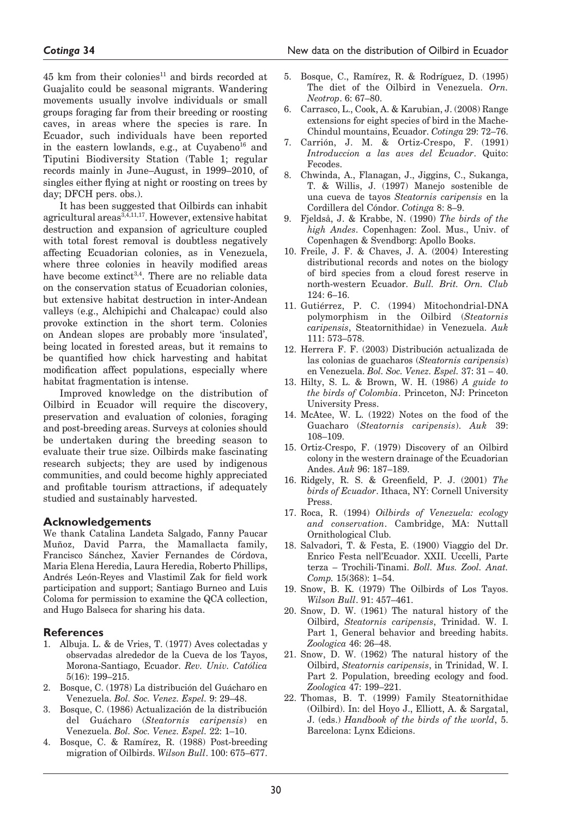$45$  km from their colonies<sup>11</sup> and birds recorded at Guajalito could be seasonal migrants. Wandering movements usually involve individuals or small groups foraging far from their breeding or roosting caves, in areas where the species is rare. In Ecuador, such individuals have been reported in the eastern lowlands, e.g., at Cuyabeno<sup>16</sup> and Tiputini Biodiversity Station (Table 1; regular records mainly in June–August, in 1999–2010, of singles either flying at night or roosting on trees by day; DFCH pers. obs.).

It has been suggested that Oilbirds can inhabit agricultural areas<sup>3,4,11,17</sup>. However, extensive habitat destruction and expansion of agriculture coupled with total forest removal is doubtless negatively affecting Ecuadorian colonies, as in Venezuela, where three colonies in heavily modified areas have become extinct<sup>3,4</sup>. There are no reliable data on the conservation status of Ecuadorian colonies, but extensive habitat destruction in inter-Andean valleys (e.g., Alchipichi and Chalcapac) could also provoke extinction in the short term. Colonies on Andean slopes are probably more 'insulated', being located in forested areas, but it remains to be quantified how chick harvesting and habitat modification affect populations, especially where habitat fragmentation is intense.

Improved knowledge on the distribution of Oilbird in Ecuador will require the discovery, preservation and evaluation of colonies, foraging and post-breeding areas. Surveys at colonies should be undertaken during the breeding season to evaluate their true size. Oilbirds make fascinating research subjects; they are used by indigenous communities, and could become highly appreciated and profitable tourism attractions, if adequately studied and sustainably harvested.

#### **Acknowledgements**

We thank Catalina Landeta Salgado, Fanny Paucar Muñoz, David Parra, the Mamallacta family, Francisco Sánchez, Xavier Fernandes de Córdova, Maria Elena Heredia, Laura Heredia, Roberto Phillips, Andrés León-Reyes and Vlastimil Zak for field work participation and support; Santiago Burneo and Luis Coloma for permission to examine the QCA collection, and Hugo Balseca for sharing his data.

#### **References**

- 1. Albuja. L. & de Vries, T. (1977) Aves colectadas y observadas alrededor de la Cueva de los Tayos, Morona-Santiago, Ecuador. *Rev. Univ. Católica* 5(16): 199–215.
- 2. Bosque, C. (1978) La distribución del Guácharo en Venezuela. *Bol. Soc. Venez. Espel.* 9: 29–48.
- 3. Bosque, C. (1986) Actualización de la distribución del Guácharo (*Steatornis caripensis*) Venezuela. *Bol. Soc. Venez. Espel.* 22: 1–10.
- 4. Bosque, C. & Ramírez, R. (1988) Post-breeding migration of Oilbirds. *Wilson Bull*. 100: 675–677.
- 5. Bosque, C., Ramírez, R. & Rodríguez, D. (1995) The diet of the Oilbird in Venezuela. *Orn. Neotrop*. 6: 67–80.
- 6. Carrasco, L., Cook, A. & Karubian, J. (2008) Range extensions for eight species of bird in the Mache-Chindul mountains, Ecuador. *Cotinga* 29: 72–76.
- 7. Carrión, J. M. & Ortiz-Crespo, F. (1991) *Introduccion a las aves del Ecuador*. Quito: Fecodes.
- 8. Chwinda, A., Flanagan, J., Jiggins, C., Sukanga, T. & Willis, J. (1997) Manejo sostenible de una cueva de tayos *Steatornis caripensis* en la Cordillera del Cóndor. *Cotinga* 8: 8–9.
- 9. Fjeldså, J. & Krabbe, N. (1990) *The birds of the high Andes*. Copenhagen: Zool. Mus., Univ. of Copenhagen & Svendborg: Apollo Books.
- 10. Freile, J. F. & Chaves, J. A. (2004) Interesting distributional records and notes on the biology of bird species from a cloud forest reserve in north-western Ecuador. *Bull. Brit. Orn. Club* 124: 6–16.
- 11. Gutiérrez, P. C. (1994) Mitochondrial-DNA polymorphism in the Oilbird (*Steatornis caripensis*, Steatornithidae) in Venezuela. *Auk* 111: 573–578.
- 12. Herrera F. F. (2003) Distribución actualizada de las colonias de guacharos (*Steatornis caripensis*) en Venezuela. *Bol. Soc. Venez. Espel.* 37: 31 – 40.
- 13. Hilty, S. L. & Brown, W. H. (1986) *A guide to the birds of Colombia*. Princeton, NJ: Princeton University Press.
- 14. McAtee, W. L. (1922) Notes on the food of the Guacharo (*Steatornis caripensis*). *Auk* 39: 108–109.
- 15. Ortiz-Crespo, F. (1979) Discovery of an Oilbird colony in the western drainage of the Ecuadorian Andes. *Auk* 96: 187–189.
- 16. Ridgely, R. S. & Greenfield, P. J. (2001) *The birds of Ecuador*. Ithaca, NY: Cornell University Press.
- 17. Roca, R. (1994) *Oilbirds of Venezuela: ecology and conservation*. Cambridge, MA: Nuttall Ornithological Club.
- 18. Salvadori, T. & Festa, E. (1900) Viaggio del Dr. Enrico Festa nell'Ecuador. XXII. Uccelli, Parte terza – Trochili-Tinami. *Boll. Mus. Zool. Anat. Comp.* 15(368): 1–54.
- 19. Snow, B. K. (1979) The Oilbirds of Los Tayos. *Wilson Bull*. 91: 457–461.
- 20. Snow, D. W. (1961) The natural history of the Oilbird, *Steatornis caripensis*, Trinidad. W. I. Part 1, General behavior and breeding habits. *Zoologica* 46: 26–48.
- 21. Snow, D. W. (1962) The natural history of the Oilbird, *Steatornis caripensis*, in Trinidad, W. I. Part 2. Population, breeding ecology and food. *Zoologica* 47: 199–221.
- 22. Thomas, B. T. (1999) Family Steatornithidae (Oilbird). In: del Hoyo J., Elliott, A. & Sargatal, J. (eds.) *Handbook of the birds of the world*, 5. Barcelona: Lynx Edicions.